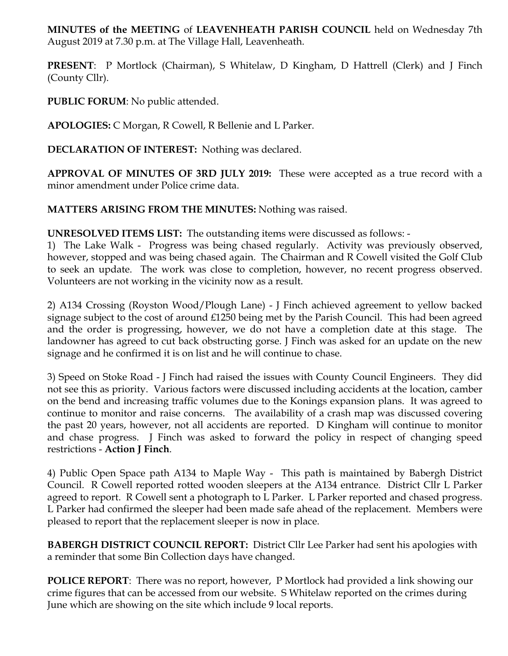**MINUTES of the MEETING** of **LEAVENHEATH PARISH COUNCIL** held on Wednesday 7th August 2019 at 7.30 p.m. at The Village Hall, Leavenheath.

**PRESENT**: P Mortlock (Chairman), S Whitelaw, D Kingham, D Hattrell (Clerk) and J Finch (County Cllr).

**PUBLIC FORUM**: No public attended.

**APOLOGIES:** C Morgan, R Cowell, R Bellenie and L Parker.

**DECLARATION OF INTEREST:** Nothing was declared.

**APPROVAL OF MINUTES OF 3RD JULY 2019:** These were accepted as a true record with a minor amendment under Police crime data.

**MATTERS ARISING FROM THE MINUTES:** Nothing was raised.

**UNRESOLVED ITEMS LIST:** The outstanding items were discussed as follows: -

1) The Lake Walk - Progress was being chased regularly. Activity was previously observed, however, stopped and was being chased again. The Chairman and R Cowell visited the Golf Club to seek an update. The work was close to completion, however, no recent progress observed. Volunteers are not working in the vicinity now as a result.

2) A134 Crossing (Royston Wood/Plough Lane) - J Finch achieved agreement to yellow backed signage subject to the cost of around £1250 being met by the Parish Council. This had been agreed and the order is progressing, however, we do not have a completion date at this stage. The landowner has agreed to cut back obstructing gorse. J Finch was asked for an update on the new signage and he confirmed it is on list and he will continue to chase.

3) Speed on Stoke Road - J Finch had raised the issues with County Council Engineers. They did not see this as priority. Various factors were discussed including accidents at the location, camber on the bend and increasing traffic volumes due to the Konings expansion plans. It was agreed to continue to monitor and raise concerns. The availability of a crash map was discussed covering the past 20 years, however, not all accidents are reported. D Kingham will continue to monitor and chase progress. J Finch was asked to forward the policy in respect of changing speed restrictions - **Action J Finch**.

4) Public Open Space path A134 to Maple Way - This path is maintained by Babergh District Council. R Cowell reported rotted wooden sleepers at the A134 entrance. District Cllr L Parker agreed to report. R Cowell sent a photograph to L Parker. L Parker reported and chased progress. L Parker had confirmed the sleeper had been made safe ahead of the replacement. Members were pleased to report that the replacement sleeper is now in place.

**BABERGH DISTRICT COUNCIL REPORT:** District Cllr Lee Parker had sent his apologies with a reminder that some Bin Collection days have changed.

**POLICE REPORT**: There was no report, however, P Mortlock had provided a link showing our crime figures that can be accessed from our website. S Whitelaw reported on the crimes during June which are showing on the site which include 9 local reports.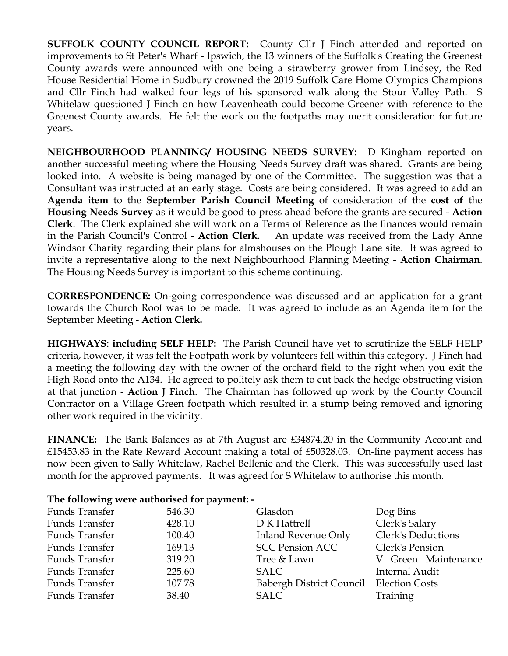**SUFFOLK COUNTY COUNCIL REPORT:** County Cllr J Finch attended and reported on improvements to St Peter's Wharf - Ipswich, the 13 winners of the Suffolk's Creating the Greenest County awards were announced with one being a strawberry grower from Lindsey, the Red House Residential Home in Sudbury crowned the 2019 Suffolk Care Home Olympics Champions and Cllr Finch had walked four legs of his sponsored walk along the Stour Valley Path. S Whitelaw questioned J Finch on how Leavenheath could become Greener with reference to the Greenest County awards. He felt the work on the footpaths may merit consideration for future years.

**NEIGHBOURHOOD PLANNING/ HOUSING NEEDS SURVEY:** D Kingham reported on another successful meeting where the Housing Needs Survey draft was shared. Grants are being looked into. A website is being managed by one of the Committee. The suggestion was that a Consultant was instructed at an early stage. Costs are being considered. It was agreed to add an **Agenda item** to the **September Parish Council Meeting** of consideration of the **cost of** the **Housing Needs Survey** as it would be good to press ahead before the grants are secured - **Action Clerk**. The Clerk explained she will work on a Terms of Reference as the finances would remain in the Parish Council's Control - **Action Clerk**. An update was received from the Lady Anne Windsor Charity regarding their plans for almshouses on the Plough Lane site. It was agreed to invite a representative along to the next Neighbourhood Planning Meeting - **Action Chairman**. The Housing Needs Survey is important to this scheme continuing.

**CORRESPONDENCE:** On-going correspondence was discussed and an application for a grant towards the Church Roof was to be made. It was agreed to include as an Agenda item for the September Meeting - **Action Clerk.** 

**HIGHWAYS**: **including SELF HELP:** The Parish Council have yet to scrutinize the SELF HELP criteria, however, it was felt the Footpath work by volunteers fell within this category. J Finch had a meeting the following day with the owner of the orchard field to the right when you exit the High Road onto the A134. He agreed to politely ask them to cut back the hedge obstructing vision at that junction - **Action J Finch**. The Chairman has followed up work by the County Council Contractor on a Village Green footpath which resulted in a stump being removed and ignoring other work required in the vicinity.

**FINANCE:** The Bank Balances as at 7th August are £34874.20 in the Community Account and £15453.83 in the Rate Reward Account making a total of £50328.03. On-line payment access has now been given to Sally Whitelaw, Rachel Bellenie and the Clerk. This was successfully used last month for the approved payments. It was agreed for S Whitelaw to authorise this month.

## **The following were authorised for payment: -**

| Funds Transfer | 546.30 | Glasdon                                 | Dog Bins                  |
|----------------|--------|-----------------------------------------|---------------------------|
| Funds Transfer | 428.10 | D K Hattrell                            | Clerk's Salary            |
| Funds Transfer | 100.40 | Inland Revenue Only                     | <b>Clerk's Deductions</b> |
| Funds Transfer | 169.13 | <b>SCC Pension ACC</b>                  | Clerk's Pension           |
| Funds Transfer | 319.20 | Tree & Lawn                             | V Green Maintenance       |
| Funds Transfer | 225.60 | SALC                                    | Internal Audit            |
| Funds Transfer | 107.78 | Babergh District Council Election Costs |                           |
| Funds Transfer | 38.40  | SALC                                    | Training                  |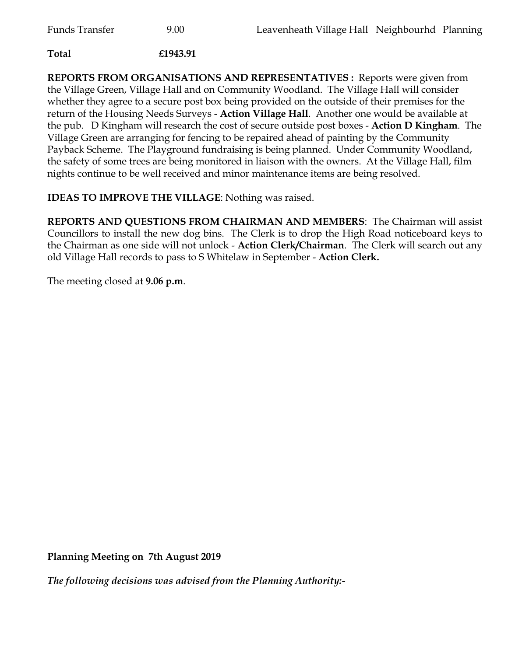## **Total £1943.91**

**REPORTS FROM ORGANISATIONS AND REPRESENTATIVES :** Reports were given from the Village Green, Village Hall and on Community Woodland. The Village Hall will consider whether they agree to a secure post box being provided on the outside of their premises for the return of the Housing Needs Surveys - **Action Village Hall**. Another one would be available at the pub. D Kingham will research the cost of secure outside post boxes - **Action D Kingham**. The Village Green are arranging for fencing to be repaired ahead of painting by the Community Payback Scheme. The Playground fundraising is being planned. Under Community Woodland, the safety of some trees are being monitored in liaison with the owners. At the Village Hall, film nights continue to be well received and minor maintenance items are being resolved.

## **IDEAS TO IMPROVE THE VILLAGE**: Nothing was raised.

**REPORTS AND QUESTIONS FROM CHAIRMAN AND MEMBERS**: The Chairman will assist Councillors to install the new dog bins. The Clerk is to drop the High Road noticeboard keys to the Chairman as one side will not unlock - **Action Clerk/Chairman**. The Clerk will search out any old Village Hall records to pass to S Whitelaw in September - **Action Clerk.**

The meeting closed at **9.06 p.m**.

**Planning Meeting on 7th August 2019**

*The following decisions was advised from the Planning Authority:-*